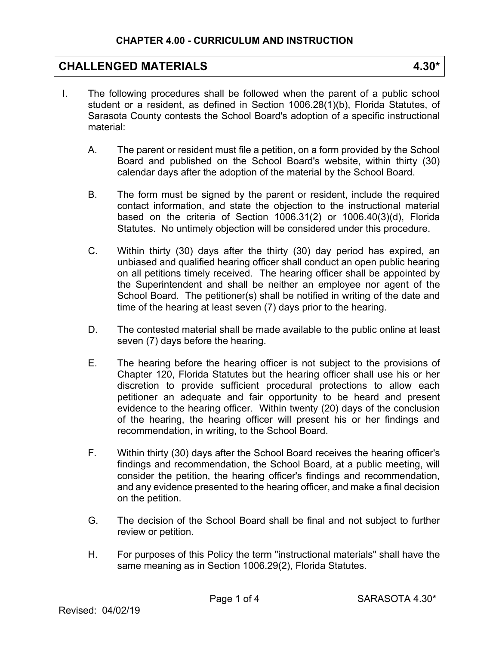# **CHALLENGED MATERIALS 4.30\***

- I. The following procedures shall be followed when the parent of a public school student or a resident, as defined in Section 1006.28(1)(b), Florida Statutes, of Sarasota County contests the School Board's adoption of a specific instructional material:
	- A. The parent or resident must file a petition, on a form provided by the School Board and published on the School Board's website, within thirty (30) calendar days after the adoption of the material by the School Board.
	- B. The form must be signed by the parent or resident, include the required contact information, and state the objection to the instructional material based on the criteria of Section 1006.31(2) or 1006.40(3)(d), Florida Statutes. No untimely objection will be considered under this procedure.
	- C. Within thirty (30) days after the thirty (30) day period has expired, an unbiased and qualified hearing officer shall conduct an open public hearing on all petitions timely received. The hearing officer shall be appointed by the Superintendent and shall be neither an employee nor agent of the School Board. The petitioner(s) shall be notified in writing of the date and time of the hearing at least seven (7) days prior to the hearing.
	- D. The contested material shall be made available to the public online at least seven (7) days before the hearing.
	- E. The hearing before the hearing officer is not subject to the provisions of Chapter 120, Florida Statutes but the hearing officer shall use his or her discretion to provide sufficient procedural protections to allow each petitioner an adequate and fair opportunity to be heard and present evidence to the hearing officer. Within twenty (20) days of the conclusion of the hearing, the hearing officer will present his or her findings and recommendation, in writing, to the School Board.
	- F. Within thirty (30) days after the School Board receives the hearing officer's findings and recommendation, the School Board, at a public meeting, will consider the petition, the hearing officer's findings and recommendation, and any evidence presented to the hearing officer, and make a final decision on the petition.
	- G. The decision of the School Board shall be final and not subject to further review or petition.
	- H. For purposes of this Policy the term "instructional materials" shall have the same meaning as in Section 1006.29(2), Florida Statutes.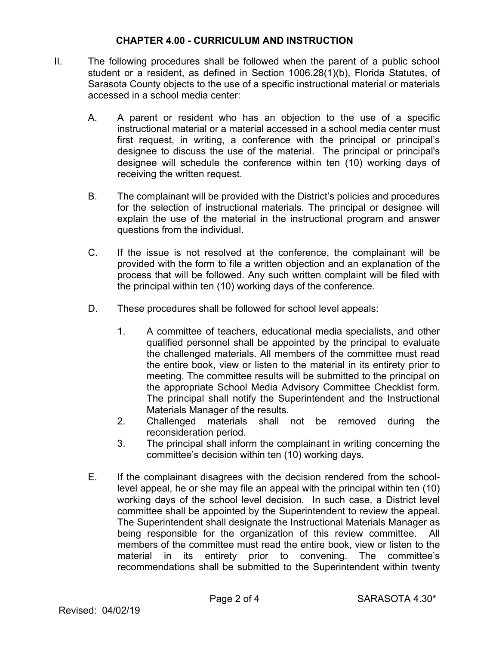#### **CHAPTER 4.00 - CURRICULUM AND INSTRUCTION**

- II. The following procedures shall be followed when the parent of a public school student or a resident, as defined in Section 1006.28(1)(b), Florida Statutes, of Sarasota County objects to the use of a specific instructional material or materials accessed in a school media center:
	- A. A parent or resident who has an objection to the use of a specific instructional material or a material accessed in a school media center must first request, in writing, a conference with the principal or principal's designee to discuss the use of the material. The principal or principal's designee will schedule the conference within ten (10) working days of receiving the written request.
	- B. The complainant will be provided with the District's policies and procedures for the selection of instructional materials. The principal or designee will explain the use of the material in the instructional program and answer questions from the individual.
	- C. If the issue is not resolved at the conference, the complainant will be provided with the form to file a written objection and an explanation of the process that will be followed. Any such written complaint will be filed with the principal within ten (10) working days of the conference.
	- D. These procedures shall be followed for school level appeals:
		- 1. A committee of teachers, educational media specialists, and other qualified personnel shall be appointed by the principal to evaluate the challenged materials. All members of the committee must read the entire book, view or listen to the material in its entirety prior to meeting. The committee results will be submitted to the principal on the appropriate School Media Advisory Committee Checklist form. The principal shall notify the Superintendent and the Instructional Materials Manager of the results.
		- 2. Challenged materials shall not be removed during the reconsideration period.
		- 3. The principal shall inform the complainant in writing concerning the committee's decision within ten (10) working days.
	- E. If the complainant disagrees with the decision rendered from the schoollevel appeal, he or she may file an appeal with the principal within ten (10) working days of the school level decision. In such case, a District level committee shall be appointed by the Superintendent to review the appeal. The Superintendent shall designate the Instructional Materials Manager as being responsible for the organization of this review committee. All members of the committee must read the entire book, view or listen to the material in its entirety prior to convening. The committee's recommendations shall be submitted to the Superintendent within twenty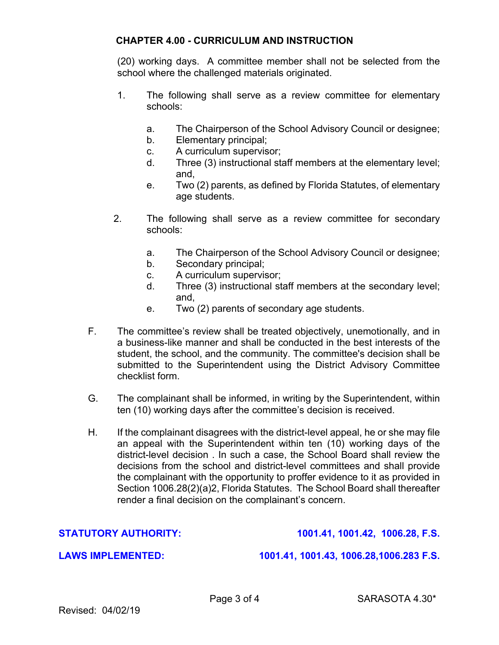## **CHAPTER 4.00 - CURRICULUM AND INSTRUCTION**

(20) working days. A committee member shall not be selected from the school where the challenged materials originated.

- 1. The following shall serve as a review committee for elementary schools:
	- a. The Chairperson of the School Advisory Council or designee;
	- b. Elementary principal;
	- c. A curriculum supervisor;
	- d. Three (3) instructional staff members at the elementary level; and,
	- e. Two (2) parents, as defined by Florida Statutes, of elementary age students.
- 2. The following shall serve as a review committee for secondary schools:
	- a. The Chairperson of the School Advisory Council or designee;
	- b. Secondary principal;
	- c. A curriculum supervisor;
	- d. Three (3) instructional staff members at the secondary level; and,
	- e. Two (2) parents of secondary age students.
- F. The committee's review shall be treated objectively, unemotionally, and in a business-like manner and shall be conducted in the best interests of the student, the school, and the community. The committee's decision shall be submitted to the Superintendent using the District Advisory Committee checklist form.
- G. The complainant shall be informed, in writing by the Superintendent, within ten (10) working days after the committee's decision is received.
- H. If the complainant disagrees with the district-level appeal, he or she may file an appeal with the Superintendent within ten (10) working days of the district-level decision . In such a case, the School Board shall review the decisions from the school and district-level committees and shall provide the complainant with the opportunity to proffer evidence to it as provided in Section 1006.28(2)(a)2, Florida Statutes. The School Board shall thereafter render a final decision on the complainant's concern.

**STATUTORY AUTHORITY: 1001.41, 1001.42, 1006.28, F.S.** 

**LAWS IMPLEMENTED: 1001.41, 1001.43, 1006.28,1006.283 F.S.**